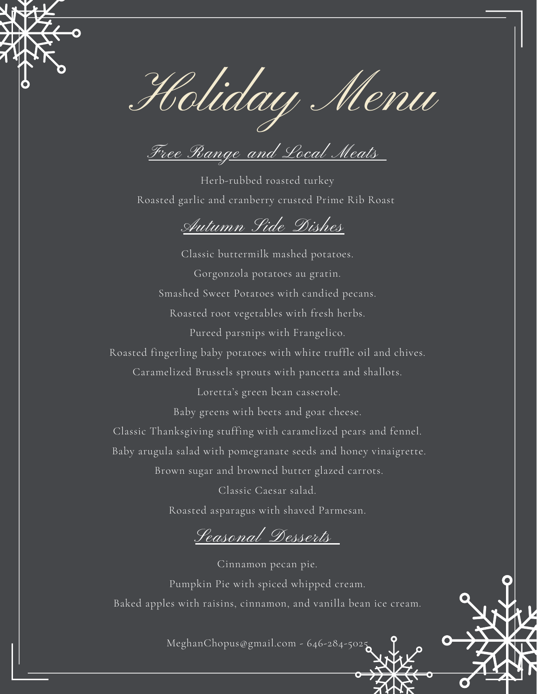

Holiday Menu

Free Range and Local Meats

Herb-rubbed roasted turkey Roasted garlic and cranberry crusted Prime Rib Roast

## Autumn Side Dishes

Classic buttermilk mashed potatoes. Gorgonzola potatoes au gratin. Smashed Sweet Potatoes with candied pecans. Roasted root vegetables with fresh herbs. Pureed parsnips with Frangelico.

Roasted fingerling baby potatoes with white truffle oil and chives.

Caramelized Brussels sprouts with pancetta and shallots.

Loretta's green bean casserole.

Baby greens with beets and goat cheese.

Classic Thanksgiving stuffing with caramelized pears and fennel.

Baby arugula salad with pomegranate seeds and honey vinaigrette.

Brown sugar and browned butter glazed carrots.

Classic Caesar salad. Roasted asparagus with shaved Parmesan.

Seasonal Desserts

Cinnamon pecan pie. Pumpkin Pie with spiced whipped cream. Baked apples with raisins, cinnamon, and vanilla bean ice cream.

MeghanChopus@gmail.com - 646-284-5025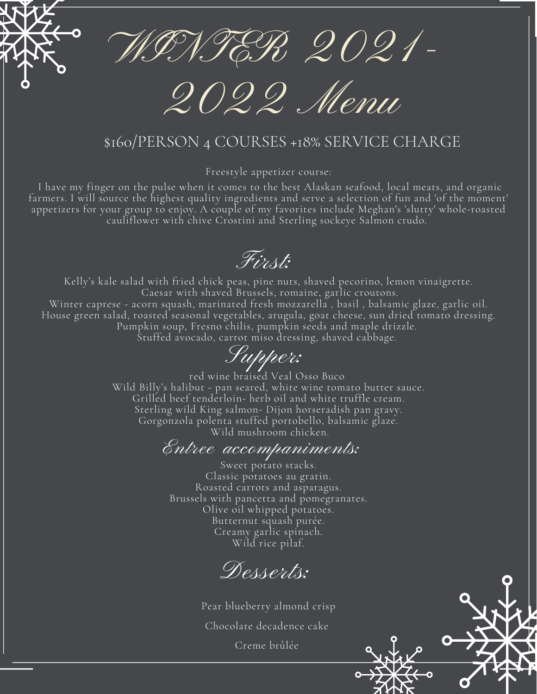WINTER 2021-

2022 Menu

## \$160/PERSON 4 COURSES +18% SERVICE CHARGE

Freestyle appetizer course:

I have my finger on the pulse when it comes to the best Alaskan seafood, local meats, and organic farmers. I will source the highest quality ingredients and serve a selection of fun and 'of the moment' appetizers for your group to enjoy. A couple of my favorites include Meghan's 'slutty' whole-roasted cauliflower with chive Crostini and Sterling sockeye Salmon crudo.

First:

Kelly's kale salad with fried chick peas, pine nuts, shaved pecorino, lemon vinaigrette. Caesar with shaved Brussels, romaine, garlic croutons. Winter caprese - acorn squash, marinated fresh mozzarella , basil , balsamic glaze, garlic oil. House green salad, roasted seasonal vegetables, arugula, goat cheese, sun dried tomato dressing. Pumpkin soup, Fresno chilis, pumpkin seeds and maple drizzle. Stuffed avocado, carrot miso dressing, shaved cabbage.

Supper:

red wine braised Veal Osso Buco Wild Billy's halibut - pan seared, white wine tomato butter sauce. Grilled beef tenderloin- herb oil and white truffle cream. Sterling wild King salmon- Dijon horseradish pan gravy. Gorgonzola polenta stuffed portobello, balsamic glaze. Wild mushroom chicken.

## Entree accompaniments:

Sweet potato stacks. Classic potatoes au gratin. Roasted carrots and asparagus. Brussels with pancetta and pomegranates. Olive oil whipped potatoes. Butternut squash purée. Creamy garlic spinach. Wild rice pilaf.

Desserts:

Pear blueberry almond crisp Chocolate decadence cake Creme brûlée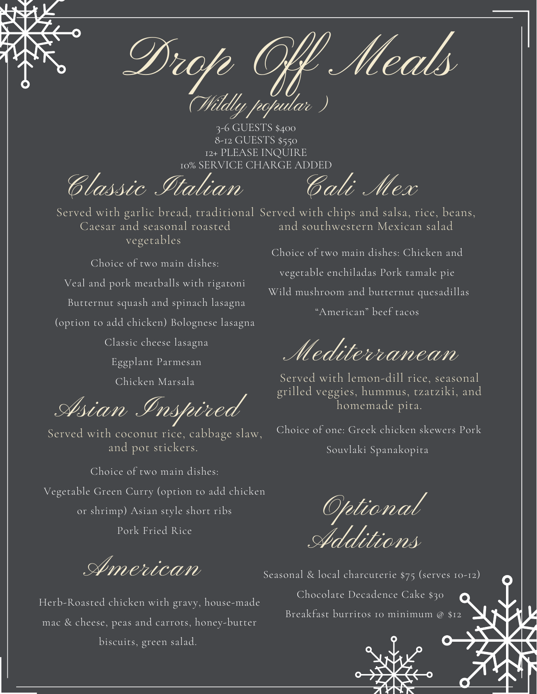

Meal popular)

3-6 GUESTS \$400 8-12 GUESTS \$550 12+ PLEASE INQUIRE 10% SERVICE CHARGE ADDED

Classic Italian

Served with garlic bread, traditional Served with chips and salsa, rice, beans, Caesar and seasonal roasted vegetables

Choice of two main dishes: Veal and pork meatballs with rigatoni Butternut squash and spinach lasagna (option to add chicken) Bolognese lasagna Classic cheese lasagna

Eggplant Parmesan

Chicken Marsala

Asian Inspired

Served with coconut rice, cabbage slaw, and pot stickers.

Choice of two main dishes: Vegetable Green Curry (option to add chicken or shrimp) Asian style short ribs Pork Fried Rice

American

Herb-Roasted chicken with gravy, house-made mac & cheese, peas and carrots, honey-butter biscuits, green salad.

and southwestern Mexican salad

Cali Mex

Choice of two main dishes: Chicken and vegetable enchiladas Pork tamale pie Wild mushroom and butternut quesadillas "American" beef tacos

Mediterranean

Served with lemon-dill rice, seasonal grilled veggies, hummus, tzatziki, and homemade pita.

Choice of one: Greek chicken skewers Pork Souvlaki Spanakopita

Optional Additions

Seasonal & local charcuterie \$75 (serves 10-12) Chocolate Decadence Cake \$30 **V X** Breakfast burritos 10 minimum @ \$12

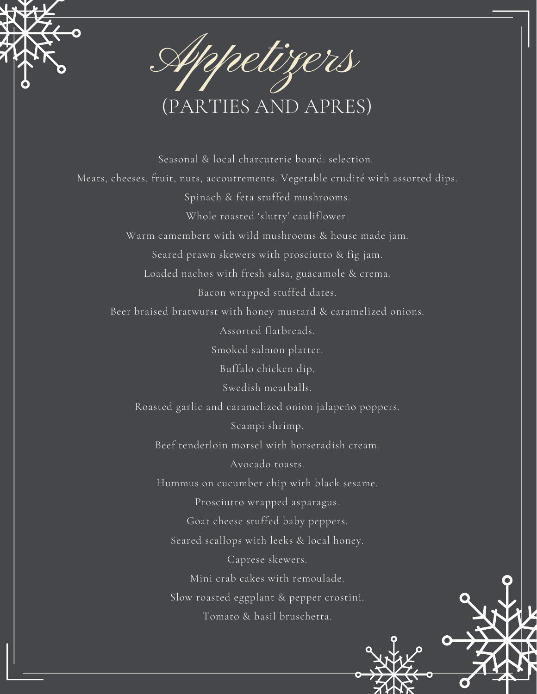

Seasonal & local charcuterie board: selection. Meats, cheeses, fruit, nuts, accoutrements. Vegetable crudité with assorted dips. Spinach & feta stuffed mushrooms. Whole roasted 'slutty' cauliflower. Warm camembert with wild mushrooms & house made jam. Seared prawn skewers with prosciutto & fig jam. Loaded nachos with fresh salsa, guacamole & crema. Bacon wrapped stuffed dates. Beer braised bratwurst with honey mustard & caramelized onions. Assorted flatbreads. Smoked salmon platter. Buffalo chicken dip. Swedish meatballs. Roasted garlic and caramelized onion jalapeño poppers. Scampi shrimp. Beef tenderloin morsel with horseradish cream. Avocado toasts. Hummus on cucumber chip with black sesame. Prosciutto wrapped asparagus. Goat cheese stuffed baby peppers. Seared scallops with leeks & local honey. Caprese skewers. Mini crab cakes with remoulade. Slow roasted eggplant & pepper crostini. Tomato & basil bruschetta.